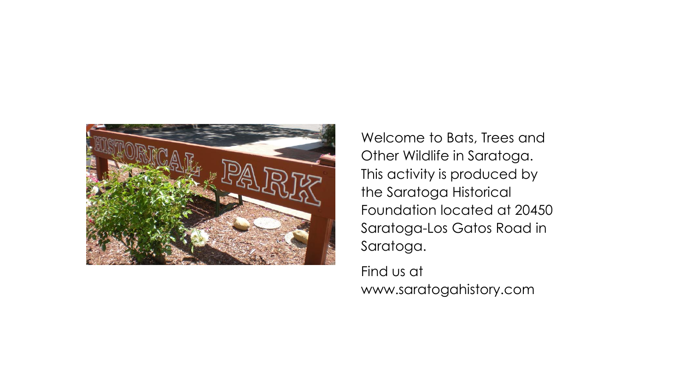

Welcome to Bats, Trees and Other Wildlife in Saratoga. This activity is produced by the Saratoga Historical Foundation located at 20450 Saratoga-Los Gatos Road in Saratoga.

Find us at www.saratogahistory.com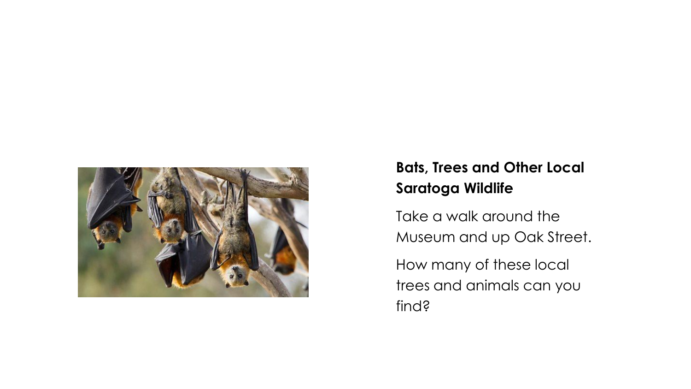

# **Bats, Trees and Other Local Saratoga Wildlife**

Take a walk around the Museum and up Oak Street.

How many of these local trees and animals can you find?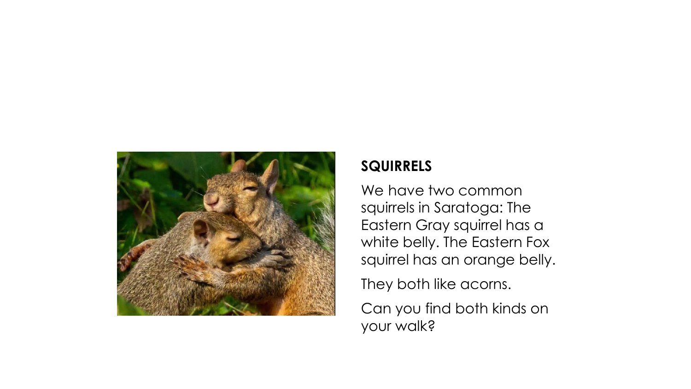

# **SQUIRRELS**

We have two common squirrels in Saratoga: The Eastern Gray squirrel has a white belly. The Eastern Fox squirrel has an orange belly.

They both like acorns.

Can you find both kinds on your walk?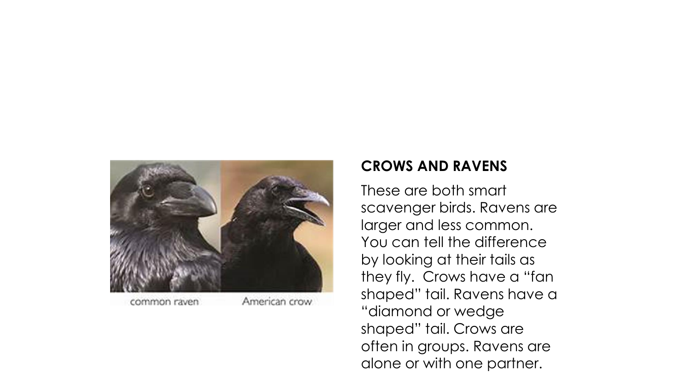

common raven

American crow

## **CROWS AND RAVENS**

These are both smart scavenger birds. Ravens are larger and less common. You can tell the difference by looking at their tails as they fly. Crows have a "fan shaped" tail. Ravens have a "diamond or wedge shaped" tail. Crows are often in groups. Ravens are alone or with one partner.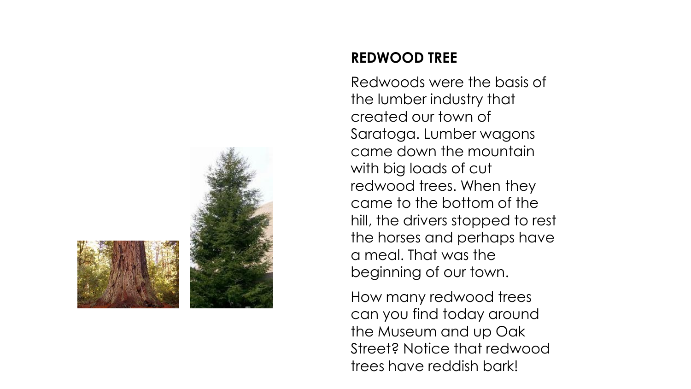

### **REDWOOD TREE**

Redwoods were the basis of the lumber industry that created our town of Saratoga. Lumber wagons came down the mountain with big loads of cut redwood trees. When they came to the bottom of the hill, the drivers stopped to rest the horses and perhaps have a meal. That was the beginning of our town.

How many redwood trees can you find today around the Museum and up Oak Street? Notice that redwood trees have reddish bark!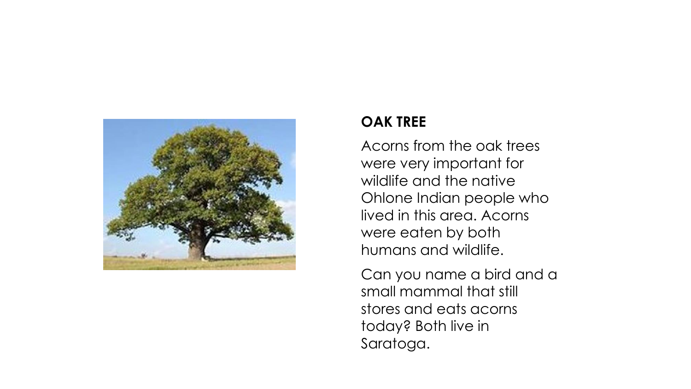

### **OAK TREE**

Acorns from the oak trees were very important for wildlife and the native Ohlone Indian people who lived in this area. Acorns were eaten by both humans and wildlife.

Can you name a bird and a small mammal that still stores and eats acorns today? Both live in Saratoga.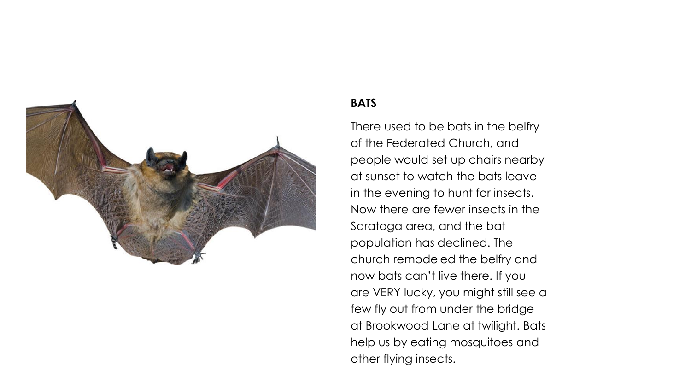

#### **BATS**

There used to be bats in the belfry of the Federated Church, and people would set up chairs nearby at sunset to watch the bats leave in the evening to hunt for insects. Now there are fewer insects in the Saratoga area, and the bat population has declined. The church remodeled the belfry and now bats can't live there. If you are VERY lucky, you might still see a few fly out from under the bridge at Brookwood Lane at twilight. Bats help us by eating mosquitoes and other flying insects.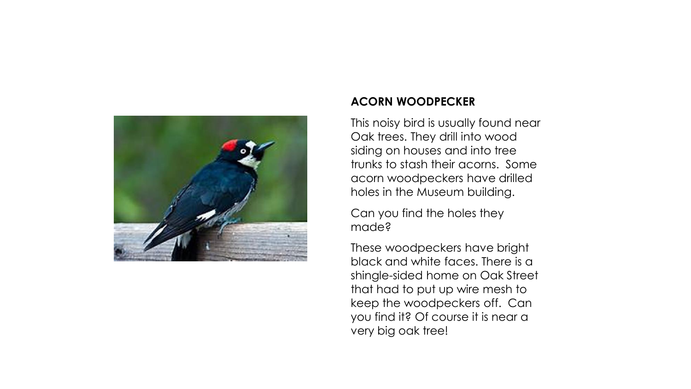

#### **ACORN WOODPECKER**

This noisy bird is usually found near Oak trees. They drill into wood siding on houses and into tree trunks to stash their acorns. Some acorn woodpeckers have drilled holes in the Museum building.

Can you find the holes they made?

These woodpeckers have bright black and white faces. There is a shingle-sided home on Oak Street that had to put up wire mesh to keep the woodpeckers off. Can you find it? Of course it is near a very big oak tree!